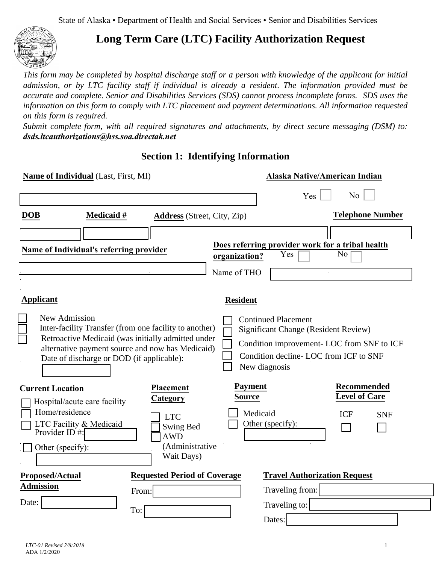State of Alaska • Department of Health and Social Services • Senior and Disabilities Services



## **Long Term Care (LTC) Facility Authorization Request**

*This form may be completed by hospital discharge staff or a person with knowledge of the applicant for initial admission, or by LTC facility staff if individual is already a resident*. *The information provided must be accurate and complete. Senior and Disabilities Services (SDS) cannot process incomplete forms. SDS uses the information on this form to comply with LTC placement and payment determinations. All information requested on this form is required.* 

*Submit complete form, with all required signatures and attachments, by direct secure messaging (DSM) to: [dsds.ltcauthorizations@hss.soa.directak.net](mailto:dsds.ltcauthorizations@hss.soa.directak.net)*

**Section 1: Identifying Information** 

|                                                          | Name of Individual (Last, First, MI)                    |                                                                                                                                                                  |                                 | Alaska Native/American Indian                                                                                                       |                                            |
|----------------------------------------------------------|---------------------------------------------------------|------------------------------------------------------------------------------------------------------------------------------------------------------------------|---------------------------------|-------------------------------------------------------------------------------------------------------------------------------------|--------------------------------------------|
|                                                          |                                                         |                                                                                                                                                                  |                                 | Yes                                                                                                                                 | N <sub>0</sub>                             |
| <b>DOB</b>                                               | <b>Medicaid</b> #                                       | <b>Address</b> (Street, City, Zip)                                                                                                                               |                                 |                                                                                                                                     | <b>Telephone Number</b>                    |
|                                                          |                                                         |                                                                                                                                                                  |                                 |                                                                                                                                     |                                            |
|                                                          | Name of Individual's referring provider                 |                                                                                                                                                                  | organization?                   | Does referring provider work for a tribal health<br>Yes                                                                             | $\overline{No}$                            |
|                                                          |                                                         |                                                                                                                                                                  | Name of THO                     |                                                                                                                                     |                                            |
|                                                          |                                                         |                                                                                                                                                                  |                                 |                                                                                                                                     |                                            |
| <b>Applicant</b>                                         |                                                         |                                                                                                                                                                  | <b>Resident</b>                 |                                                                                                                                     |                                            |
| New Admission                                            | Date of discharge or DOD (if applicable):               | Inter-facility Transfer (from one facility to another)<br>Retroactive Medicaid (was initially admitted under<br>alternative payment source and now has Medicaid) |                                 | <b>Continued Placement</b><br><b>Significant Change (Resident Review)</b><br>Condition decline-LOC from ICF to SNF<br>New diagnosis | Condition improvement- LOC from SNF to ICF |
| <b>Current Location</b>                                  |                                                         | <b>Placement</b>                                                                                                                                                 | <b>Payment</b><br><b>Source</b> |                                                                                                                                     | <b>Recommended</b><br><b>Level of Care</b> |
| Home/residence<br>Provider ID $\#$ :<br>Other (specify): | Hospital/acute care facility<br>LTC Facility & Medicaid | Category<br><b>LTC</b><br><b>Swing Bed</b><br><b>AWD</b><br>(Administrative<br>Wait Days)                                                                        | Medicaid                        | Other (specify):                                                                                                                    | <b>ICF</b><br><b>SNF</b>                   |
| <b>Proposed/Actual</b>                                   |                                                         | <b>Requested Period of Coverage</b>                                                                                                                              |                                 | <b>Travel Authorization Request</b>                                                                                                 |                                            |
| <b>Admission</b>                                         |                                                         | From:                                                                                                                                                            |                                 | Traveling from:                                                                                                                     |                                            |
| Date:                                                    |                                                         | To:                                                                                                                                                              |                                 | Traveling to:                                                                                                                       |                                            |
|                                                          |                                                         |                                                                                                                                                                  |                                 | Dates:                                                                                                                              |                                            |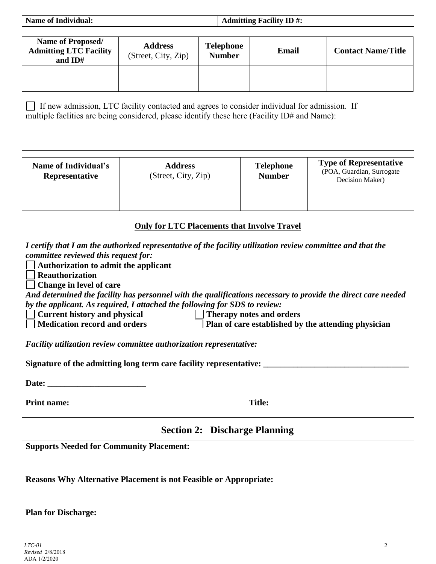| <b>Name of Individual:</b> | Admitting Facility ID $\#$ : |
|----------------------------|------------------------------|

| <b>Name of Proposed/</b><br><b>Admitting LTC Facility</b><br>and ID# | <b>Address</b><br>(Street, City, Zip) | <b>Telephone</b><br><b>Number</b> | Email | <b>Contact Name/Title</b> |
|----------------------------------------------------------------------|---------------------------------------|-----------------------------------|-------|---------------------------|
|                                                                      |                                       |                                   |       |                           |

 $\Box$  If hew admission, ETC facility contacted and agrees to consider individual for admission multiple facilities are being considered, please identify these here (Facility ID# and Name): If new admission, LTC facility contacted and agrees to consider individual for admission. If

| Name of Individual's<br>Representative | <b>Address</b><br>(Street, City, Zip) | <b>Telephone</b><br><b>Number</b> | <b>Type of Representative</b><br>(POA, Guardian, Surrogate<br>Decision Maker) |
|----------------------------------------|---------------------------------------|-----------------------------------|-------------------------------------------------------------------------------|
|                                        |                                       |                                   |                                                                               |

| <b>Only for LTC Placements that Involve Travel</b>                                                                                                                                                                                               |  |  |  |  |
|--------------------------------------------------------------------------------------------------------------------------------------------------------------------------------------------------------------------------------------------------|--|--|--|--|
| I certify that I am the authorized representative of the facility utilization review committee and that the<br>committee reviewed this request for:<br>Authorization to admit the applicant<br><b>Reauthorization</b><br>Change in level of care |  |  |  |  |
| And determined the facility has personnel with the qualifications necessary to provide the direct care needed                                                                                                                                    |  |  |  |  |
| by the applicant. As required, I attached the following for SDS to review:                                                                                                                                                                       |  |  |  |  |
| <b>Current history and physical</b><br>  Therapy notes and orders                                                                                                                                                                                |  |  |  |  |
| <b>Medication record and orders</b><br>Plan of care established by the attending physician                                                                                                                                                       |  |  |  |  |
| Facility utilization review committee authorization representative:                                                                                                                                                                              |  |  |  |  |
| Signature of the admitting long term care facility representative:                                                                                                                                                                               |  |  |  |  |
| Date: the contract of the contract of the contract of the contract of the contract of the contract of the contract of the contract of the contract of the contract of the contract of the contract of the contract of the cont                   |  |  |  |  |
| Title:<br><b>Print name:</b>                                                                                                                                                                                                                     |  |  |  |  |

## **Section 2: Discharge Planning**

**Supports Needed for Community Placement: Reasons Why Alternative Placement is not Feasible or Appropriate: Plan for Discharge:**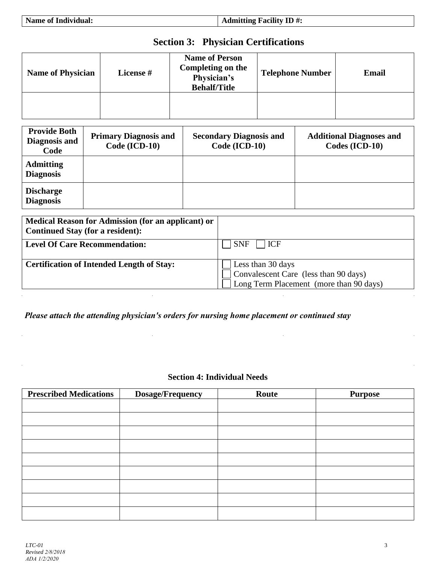**Admitting Facility ID #:** 

# **Section 3: Physician Certifications**

| <b>Name of Physician</b> | <b>License</b> # | <b>Name of Person</b><br>Completing on the<br>Physician's<br><b>Behalf/Title</b> | <b>Telephone Number</b> | Email |
|--------------------------|------------------|----------------------------------------------------------------------------------|-------------------------|-------|
|                          |                  |                                                                                  |                         |       |

| <b>Provide Both</b><br>Diagnosis and<br>Code | <b>Primary Diagnosis and</b><br>Code (ICD-10) | <b>Secondary Diagnosis and</b><br>Code (ICD-10) | <b>Additional Diagnoses and</b><br>Codes (ICD-10) |
|----------------------------------------------|-----------------------------------------------|-------------------------------------------------|---------------------------------------------------|
| <b>Admitting</b><br><b>Diagnosis</b>         |                                               |                                                 |                                                   |
| <b>Discharge</b><br><b>Diagnosis</b>         |                                               |                                                 |                                                   |

| Medical Reason for Admission (for an applicant) or<br><b>Continued Stay (for a resident):</b> |                                                                                                                      |
|-----------------------------------------------------------------------------------------------|----------------------------------------------------------------------------------------------------------------------|
| <b>Level Of Care Recommendation:</b>                                                          | <b>ICF</b><br><b>SNF</b>                                                                                             |
| <b>Certification of Intended Length of Stay:</b>                                              | Less than 30 days<br>$\overline{1}$ Convalescent Care (less than 90 days)<br>Long Term Placement (more than 90 days) |

*Please attach the attending physician's orders for nursing home placement or continued stay*

#### **Section 4: Individual Needs**

| <b>Prescribed Medications</b> | <b>Dosage/Frequency</b> | Route | <b>Purpose</b> |
|-------------------------------|-------------------------|-------|----------------|
|                               |                         |       |                |
|                               |                         |       |                |
|                               |                         |       |                |
|                               |                         |       |                |
|                               |                         |       |                |
|                               |                         |       |                |
|                               |                         |       |                |
|                               |                         |       |                |
|                               |                         |       |                |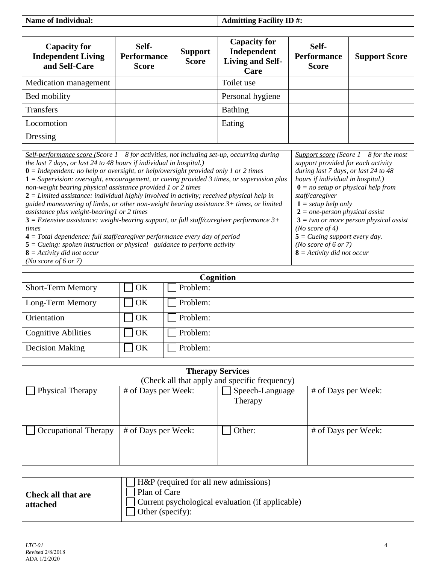**Name of Individual:** 

**Admitting Facility ID #:** 

| <b>Capacity for</b><br><b>Independent Living</b><br>and Self-Care | Self-<br><b>Performance</b><br><b>Score</b> | <b>Support</b><br><b>Score</b> | <b>Capacity for</b><br>Independent<br><b>Living and Self-</b><br>Care | Self-<br><b>Performance</b><br><b>Score</b> | <b>Support Score</b> |
|-------------------------------------------------------------------|---------------------------------------------|--------------------------------|-----------------------------------------------------------------------|---------------------------------------------|----------------------|
| Medication management                                             |                                             |                                | Toilet use                                                            |                                             |                      |
| Bed mobility                                                      |                                             |                                | Personal hygiene                                                      |                                             |                      |
| <b>Transfers</b>                                                  |                                             |                                | <b>Bathing</b>                                                        |                                             |                      |
| Locomotion                                                        |                                             |                                | Eating                                                                |                                             |                      |
| Dressing                                                          |                                             |                                |                                                                       |                                             |                      |

| <u>Self-performance score</u> (Score $1 - 8$ for activities, not including set-up, occurring during | Support score (Score $1 - 8$ for the most     |
|-----------------------------------------------------------------------------------------------------|-----------------------------------------------|
| the last 7 days, or last 24 to 48 hours if individual in hospital.)                                 | support provided for each activity            |
| $\mathbf{0}$ = Independent: no help or oversight, or help/oversight provided only 1 or 2 times      | during last 7 days, or last 24 to 48          |
| $1 =$ Supervision: oversight, encouragement, or cueing provided 3 times, or supervision plus        | hours if individual in hospital.)             |
| non-weight bearing physical assistance provided 1 or 2 times                                        | $\mathbf{0}$ = no setup or physical help from |
| $2 =$ Limited assistance: individual highly involved in activity; received physical help in         | staff/caregiver                               |
| guided maneuvering of limbs, or other non-weight bearing assistance 3+ times, or limited            | $1 = setup help only$                         |
| assistance plus weight-bearing1 or 2 times                                                          | $2 = one-person physical assist$              |
| $3$ = Extensive assistance: weight-bearing support, or full staff/caregiver performance $3+$        | $3 = two$ or more person physical assist      |
| times                                                                                               | ( <i>No score of 4</i> )                      |
| $4 = Total dependence: full staff/caregiver performance every day of period$                        | $5 = Cueing support every day.$               |
| $5 = C$ ueing: spoken instruction or physical guidance to perform activity                          | (No score of 6 or 7)                          |
| $\mathbf{8}$ = Activity did not occur                                                               | $\mathbf{8}$ = Activity did not occur         |
| ( <i>No score of 6 or 7</i> )                                                                       |                                               |

| Cognition                  |    |          |  |
|----------------------------|----|----------|--|
| <b>Short-Term Memory</b>   | OK | Problem: |  |
| Long-Term Memory           | OK | Problem: |  |
| Orientation                | OK | Problem: |  |
| <b>Cognitive Abilities</b> | OK | Problem: |  |
| <b>Decision Making</b>     | OK | Problem: |  |

| <b>Therapy Services</b>                       |                     |                     |  |  |  |  |
|-----------------------------------------------|---------------------|---------------------|--|--|--|--|
| (Check all that apply and specific frequency) |                     |                     |  |  |  |  |
| # of Days per Week:                           | Speech-Language     | # of Days per Week: |  |  |  |  |
|                                               | Therapy             |                     |  |  |  |  |
|                                               |                     |                     |  |  |  |  |
|                                               |                     |                     |  |  |  |  |
|                                               | Other:              | # of Days per Week: |  |  |  |  |
|                                               |                     |                     |  |  |  |  |
|                                               |                     |                     |  |  |  |  |
|                                               |                     |                     |  |  |  |  |
|                                               | # of Days per Week: |                     |  |  |  |  |

| <b>Check all that are</b><br>attached | H&P (required for all new admissions)<br>Plan of Care<br>Current psychological evaluation (if applicable)<br>Other (specify): |
|---------------------------------------|-------------------------------------------------------------------------------------------------------------------------------|
|---------------------------------------|-------------------------------------------------------------------------------------------------------------------------------|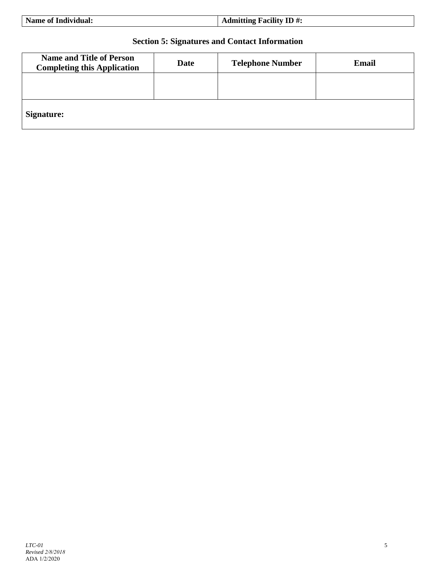## **Section 5: Signatures and Contact Information**

| <b>Name and Title of Person</b><br><b>Completing this Application</b> | Date | <b>Telephone Number</b> | <b>Email</b> |
|-----------------------------------------------------------------------|------|-------------------------|--------------|
|                                                                       |      |                         |              |
| <b>Signature:</b>                                                     |      |                         |              |